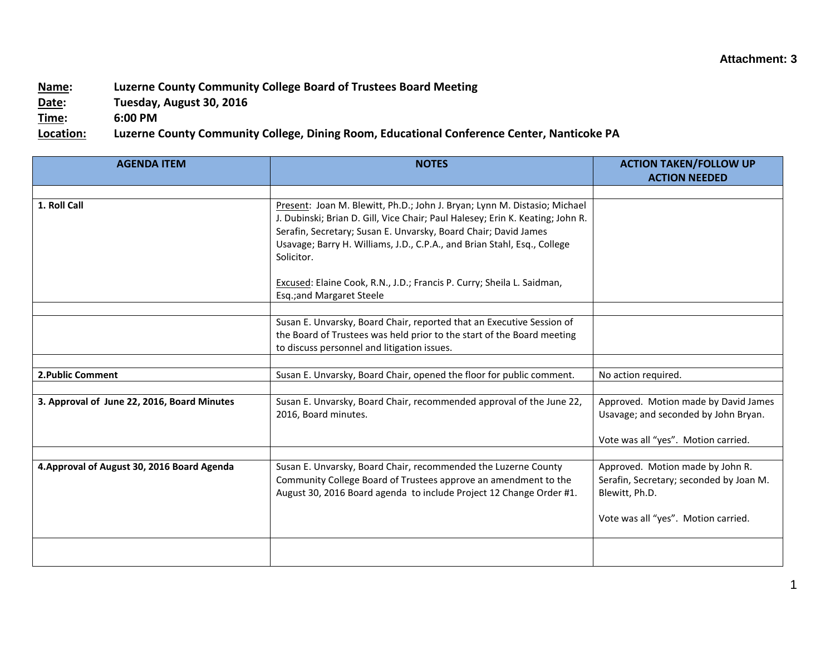## **Name: Luzerne County Community College Board of Trustees Board Meeting**

**Date: Tuesday, August 30, 2016**

**Time: 6:00 PM**

**Location: Luzerne County Community College, Dining Room, Educational Conference Center, Nanticoke PA**

| <b>AGENDA ITEM</b>                          | <b>NOTES</b>                                                                                                                                                                                                                                                                                                             | <b>ACTION TAKEN/FOLLOW UP</b>                                                                                                        |
|---------------------------------------------|--------------------------------------------------------------------------------------------------------------------------------------------------------------------------------------------------------------------------------------------------------------------------------------------------------------------------|--------------------------------------------------------------------------------------------------------------------------------------|
|                                             |                                                                                                                                                                                                                                                                                                                          | <b>ACTION NEEDED</b>                                                                                                                 |
| 1. Roll Call                                | Present: Joan M. Blewitt, Ph.D.; John J. Bryan; Lynn M. Distasio; Michael<br>J. Dubinski; Brian D. Gill, Vice Chair; Paul Halesey; Erin K. Keating; John R.<br>Serafin, Secretary; Susan E. Unvarsky, Board Chair; David James<br>Usavage; Barry H. Williams, J.D., C.P.A., and Brian Stahl, Esq., College<br>Solicitor. |                                                                                                                                      |
|                                             | Excused: Elaine Cook, R.N., J.D.; Francis P. Curry; Sheila L. Saidman,<br>Esq.;and Margaret Steele                                                                                                                                                                                                                       |                                                                                                                                      |
|                                             | Susan E. Unvarsky, Board Chair, reported that an Executive Session of                                                                                                                                                                                                                                                    |                                                                                                                                      |
|                                             | the Board of Trustees was held prior to the start of the Board meeting<br>to discuss personnel and litigation issues.                                                                                                                                                                                                    |                                                                                                                                      |
|                                             |                                                                                                                                                                                                                                                                                                                          |                                                                                                                                      |
| 2. Public Comment                           | Susan E. Unvarsky, Board Chair, opened the floor for public comment.                                                                                                                                                                                                                                                     | No action required.                                                                                                                  |
| 3. Approval of June 22, 2016, Board Minutes | Susan E. Unvarsky, Board Chair, recommended approval of the June 22,<br>2016, Board minutes.                                                                                                                                                                                                                             | Approved. Motion made by David James<br>Usavage; and seconded by John Bryan.<br>Vote was all "yes". Motion carried.                  |
|                                             |                                                                                                                                                                                                                                                                                                                          |                                                                                                                                      |
| 4. Approval of August 30, 2016 Board Agenda | Susan E. Unvarsky, Board Chair, recommended the Luzerne County<br>Community College Board of Trustees approve an amendment to the<br>August 30, 2016 Board agenda to include Project 12 Change Order #1.                                                                                                                 | Approved. Motion made by John R.<br>Serafin, Secretary; seconded by Joan M.<br>Blewitt, Ph.D.<br>Vote was all "yes". Motion carried. |
|                                             |                                                                                                                                                                                                                                                                                                                          |                                                                                                                                      |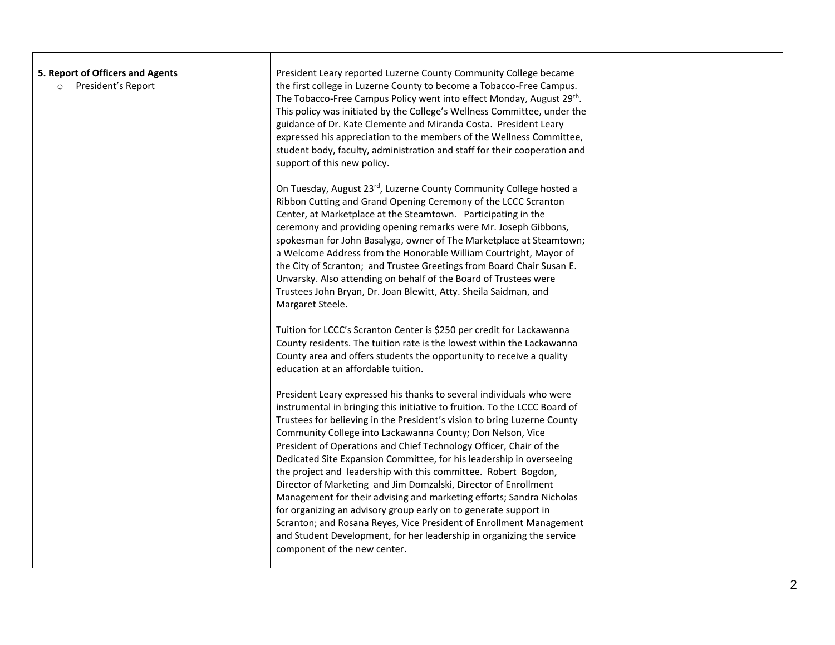| 5. Report of Officers and Agents<br>President's Report<br>$\circ$ | President Leary reported Luzerne County Community College became<br>the first college in Luzerne County to become a Tobacco-Free Campus.<br>The Tobacco-Free Campus Policy went into effect Monday, August 29th.<br>This policy was initiated by the College's Wellness Committee, under the<br>guidance of Dr. Kate Clemente and Miranda Costa. President Leary<br>expressed his appreciation to the members of the Wellness Committee,<br>student body, faculty, administration and staff for their cooperation and<br>support of this new policy.                                                                                                                                                                               |  |
|-------------------------------------------------------------------|------------------------------------------------------------------------------------------------------------------------------------------------------------------------------------------------------------------------------------------------------------------------------------------------------------------------------------------------------------------------------------------------------------------------------------------------------------------------------------------------------------------------------------------------------------------------------------------------------------------------------------------------------------------------------------------------------------------------------------|--|
|                                                                   | On Tuesday, August 23rd, Luzerne County Community College hosted a<br>Ribbon Cutting and Grand Opening Ceremony of the LCCC Scranton<br>Center, at Marketplace at the Steamtown. Participating in the<br>ceremony and providing opening remarks were Mr. Joseph Gibbons,<br>spokesman for John Basalyga, owner of The Marketplace at Steamtown;<br>a Welcome Address from the Honorable William Courtright, Mayor of<br>the City of Scranton; and Trustee Greetings from Board Chair Susan E.<br>Unvarsky. Also attending on behalf of the Board of Trustees were<br>Trustees John Bryan, Dr. Joan Blewitt, Atty. Sheila Saidman, and<br>Margaret Steele.<br>Tuition for LCCC's Scranton Center is \$250 per credit for Lackawanna |  |
|                                                                   | County residents. The tuition rate is the lowest within the Lackawanna<br>County area and offers students the opportunity to receive a quality<br>education at an affordable tuition.<br>President Leary expressed his thanks to several individuals who were<br>instrumental in bringing this initiative to fruition. To the LCCC Board of<br>Trustees for believing in the President's vision to bring Luzerne County                                                                                                                                                                                                                                                                                                            |  |
|                                                                   | Community College into Lackawanna County; Don Nelson, Vice<br>President of Operations and Chief Technology Officer, Chair of the<br>Dedicated Site Expansion Committee, for his leadership in overseeing<br>the project and leadership with this committee. Robert Bogdon,<br>Director of Marketing and Jim Domzalski, Director of Enrollment<br>Management for their advising and marketing efforts; Sandra Nicholas<br>for organizing an advisory group early on to generate support in<br>Scranton; and Rosana Reyes, Vice President of Enrollment Management<br>and Student Development, for her leadership in organizing the service<br>component of the new center.                                                          |  |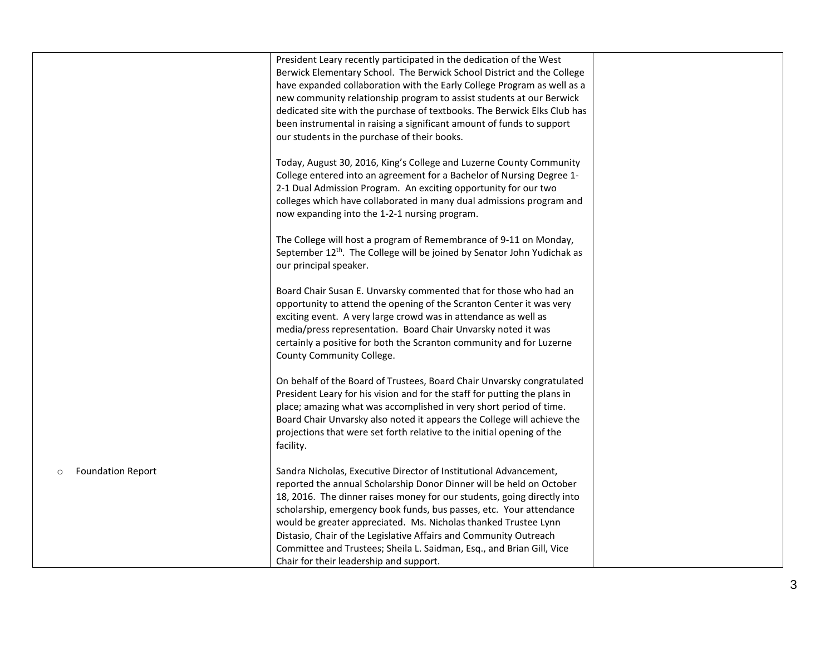| President Leary recently participated in the dedication of the West<br>Berwick Elementary School. The Berwick School District and the College<br>have expanded collaboration with the Early College Program as well as a<br>new community relationship program to assist students at our Berwick<br>dedicated site with the purchase of textbooks. The Berwick Elks Club has<br>been instrumental in raising a significant amount of funds to support<br>our students in the purchase of their books.<br>Today, August 30, 2016, King's College and Luzerne County Community<br>College entered into an agreement for a Bachelor of Nursing Degree 1-<br>2-1 Dual Admission Program. An exciting opportunity for our two<br>colleges which have collaborated in many dual admissions program and<br>now expanding into the 1-2-1 nursing program.<br>The College will host a program of Remembrance of 9-11 on Monday,<br>September 12 <sup>th</sup> . The College will be joined by Senator John Yudichak as<br>our principal speaker. |
|-----------------------------------------------------------------------------------------------------------------------------------------------------------------------------------------------------------------------------------------------------------------------------------------------------------------------------------------------------------------------------------------------------------------------------------------------------------------------------------------------------------------------------------------------------------------------------------------------------------------------------------------------------------------------------------------------------------------------------------------------------------------------------------------------------------------------------------------------------------------------------------------------------------------------------------------------------------------------------------------------------------------------------------------|
|                                                                                                                                                                                                                                                                                                                                                                                                                                                                                                                                                                                                                                                                                                                                                                                                                                                                                                                                                                                                                                         |
|                                                                                                                                                                                                                                                                                                                                                                                                                                                                                                                                                                                                                                                                                                                                                                                                                                                                                                                                                                                                                                         |
|                                                                                                                                                                                                                                                                                                                                                                                                                                                                                                                                                                                                                                                                                                                                                                                                                                                                                                                                                                                                                                         |
|                                                                                                                                                                                                                                                                                                                                                                                                                                                                                                                                                                                                                                                                                                                                                                                                                                                                                                                                                                                                                                         |
|                                                                                                                                                                                                                                                                                                                                                                                                                                                                                                                                                                                                                                                                                                                                                                                                                                                                                                                                                                                                                                         |
|                                                                                                                                                                                                                                                                                                                                                                                                                                                                                                                                                                                                                                                                                                                                                                                                                                                                                                                                                                                                                                         |
|                                                                                                                                                                                                                                                                                                                                                                                                                                                                                                                                                                                                                                                                                                                                                                                                                                                                                                                                                                                                                                         |
|                                                                                                                                                                                                                                                                                                                                                                                                                                                                                                                                                                                                                                                                                                                                                                                                                                                                                                                                                                                                                                         |
|                                                                                                                                                                                                                                                                                                                                                                                                                                                                                                                                                                                                                                                                                                                                                                                                                                                                                                                                                                                                                                         |
|                                                                                                                                                                                                                                                                                                                                                                                                                                                                                                                                                                                                                                                                                                                                                                                                                                                                                                                                                                                                                                         |
|                                                                                                                                                                                                                                                                                                                                                                                                                                                                                                                                                                                                                                                                                                                                                                                                                                                                                                                                                                                                                                         |
|                                                                                                                                                                                                                                                                                                                                                                                                                                                                                                                                                                                                                                                                                                                                                                                                                                                                                                                                                                                                                                         |
|                                                                                                                                                                                                                                                                                                                                                                                                                                                                                                                                                                                                                                                                                                                                                                                                                                                                                                                                                                                                                                         |
|                                                                                                                                                                                                                                                                                                                                                                                                                                                                                                                                                                                                                                                                                                                                                                                                                                                                                                                                                                                                                                         |
|                                                                                                                                                                                                                                                                                                                                                                                                                                                                                                                                                                                                                                                                                                                                                                                                                                                                                                                                                                                                                                         |
|                                                                                                                                                                                                                                                                                                                                                                                                                                                                                                                                                                                                                                                                                                                                                                                                                                                                                                                                                                                                                                         |
| Board Chair Susan E. Unvarsky commented that for those who had an<br>opportunity to attend the opening of the Scranton Center it was very                                                                                                                                                                                                                                                                                                                                                                                                                                                                                                                                                                                                                                                                                                                                                                                                                                                                                               |
| exciting event. A very large crowd was in attendance as well as                                                                                                                                                                                                                                                                                                                                                                                                                                                                                                                                                                                                                                                                                                                                                                                                                                                                                                                                                                         |
| media/press representation. Board Chair Unvarsky noted it was                                                                                                                                                                                                                                                                                                                                                                                                                                                                                                                                                                                                                                                                                                                                                                                                                                                                                                                                                                           |
| certainly a positive for both the Scranton community and for Luzerne                                                                                                                                                                                                                                                                                                                                                                                                                                                                                                                                                                                                                                                                                                                                                                                                                                                                                                                                                                    |
| County Community College.                                                                                                                                                                                                                                                                                                                                                                                                                                                                                                                                                                                                                                                                                                                                                                                                                                                                                                                                                                                                               |
|                                                                                                                                                                                                                                                                                                                                                                                                                                                                                                                                                                                                                                                                                                                                                                                                                                                                                                                                                                                                                                         |
| On behalf of the Board of Trustees, Board Chair Unvarsky congratulated                                                                                                                                                                                                                                                                                                                                                                                                                                                                                                                                                                                                                                                                                                                                                                                                                                                                                                                                                                  |
| President Leary for his vision and for the staff for putting the plans in                                                                                                                                                                                                                                                                                                                                                                                                                                                                                                                                                                                                                                                                                                                                                                                                                                                                                                                                                               |
| place; amazing what was accomplished in very short period of time.                                                                                                                                                                                                                                                                                                                                                                                                                                                                                                                                                                                                                                                                                                                                                                                                                                                                                                                                                                      |
| Board Chair Unvarsky also noted it appears the College will achieve the<br>projections that were set forth relative to the initial opening of the                                                                                                                                                                                                                                                                                                                                                                                                                                                                                                                                                                                                                                                                                                                                                                                                                                                                                       |
| facility.                                                                                                                                                                                                                                                                                                                                                                                                                                                                                                                                                                                                                                                                                                                                                                                                                                                                                                                                                                                                                               |
|                                                                                                                                                                                                                                                                                                                                                                                                                                                                                                                                                                                                                                                                                                                                                                                                                                                                                                                                                                                                                                         |
| <b>Foundation Report</b><br>Sandra Nicholas, Executive Director of Institutional Advancement,<br>$\circ$                                                                                                                                                                                                                                                                                                                                                                                                                                                                                                                                                                                                                                                                                                                                                                                                                                                                                                                                |
| reported the annual Scholarship Donor Dinner will be held on October                                                                                                                                                                                                                                                                                                                                                                                                                                                                                                                                                                                                                                                                                                                                                                                                                                                                                                                                                                    |
| 18, 2016. The dinner raises money for our students, going directly into                                                                                                                                                                                                                                                                                                                                                                                                                                                                                                                                                                                                                                                                                                                                                                                                                                                                                                                                                                 |
| scholarship, emergency book funds, bus passes, etc. Your attendance                                                                                                                                                                                                                                                                                                                                                                                                                                                                                                                                                                                                                                                                                                                                                                                                                                                                                                                                                                     |
| would be greater appreciated. Ms. Nicholas thanked Trustee Lynn                                                                                                                                                                                                                                                                                                                                                                                                                                                                                                                                                                                                                                                                                                                                                                                                                                                                                                                                                                         |
| Distasio, Chair of the Legislative Affairs and Community Outreach<br>Committee and Trustees; Sheila L. Saidman, Esq., and Brian Gill, Vice                                                                                                                                                                                                                                                                                                                                                                                                                                                                                                                                                                                                                                                                                                                                                                                                                                                                                              |
| Chair for their leadership and support.                                                                                                                                                                                                                                                                                                                                                                                                                                                                                                                                                                                                                                                                                                                                                                                                                                                                                                                                                                                                 |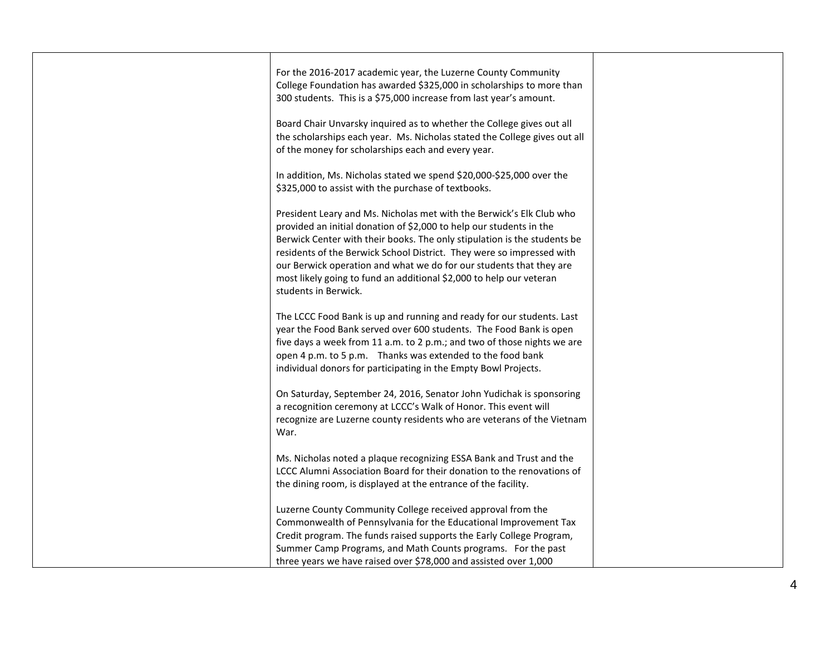| For the 2016-2017 academic year, the Luzerne County Community<br>College Foundation has awarded \$325,000 in scholarships to more than<br>300 students. This is a \$75,000 increase from last year's amount.<br>Board Chair Unvarsky inquired as to whether the College gives out all<br>the scholarships each year. Ms. Nicholas stated the College gives out all<br>of the money for scholarships each and every year.                                               |  |
|------------------------------------------------------------------------------------------------------------------------------------------------------------------------------------------------------------------------------------------------------------------------------------------------------------------------------------------------------------------------------------------------------------------------------------------------------------------------|--|
| In addition, Ms. Nicholas stated we spend \$20,000-\$25,000 over the<br>\$325,000 to assist with the purchase of textbooks.                                                                                                                                                                                                                                                                                                                                            |  |
| President Leary and Ms. Nicholas met with the Berwick's Elk Club who<br>provided an initial donation of \$2,000 to help our students in the<br>Berwick Center with their books. The only stipulation is the students be<br>residents of the Berwick School District. They were so impressed with<br>our Berwick operation and what we do for our students that they are<br>most likely going to fund an additional \$2,000 to help our veteran<br>students in Berwick. |  |
| The LCCC Food Bank is up and running and ready for our students. Last<br>year the Food Bank served over 600 students. The Food Bank is open<br>five days a week from 11 a.m. to 2 p.m.; and two of those nights we are<br>open 4 p.m. to 5 p.m. Thanks was extended to the food bank<br>individual donors for participating in the Empty Bowl Projects.                                                                                                                |  |
| On Saturday, September 24, 2016, Senator John Yudichak is sponsoring<br>a recognition ceremony at LCCC's Walk of Honor. This event will<br>recognize are Luzerne county residents who are veterans of the Vietnam<br>War.                                                                                                                                                                                                                                              |  |
| Ms. Nicholas noted a plaque recognizing ESSA Bank and Trust and the<br>LCCC Alumni Association Board for their donation to the renovations of<br>the dining room, is displayed at the entrance of the facility.                                                                                                                                                                                                                                                        |  |
| Luzerne County Community College received approval from the<br>Commonwealth of Pennsylvania for the Educational Improvement Tax<br>Credit program. The funds raised supports the Early College Program,<br>Summer Camp Programs, and Math Counts programs. For the past<br>three years we have raised over \$78,000 and assisted over 1,000                                                                                                                            |  |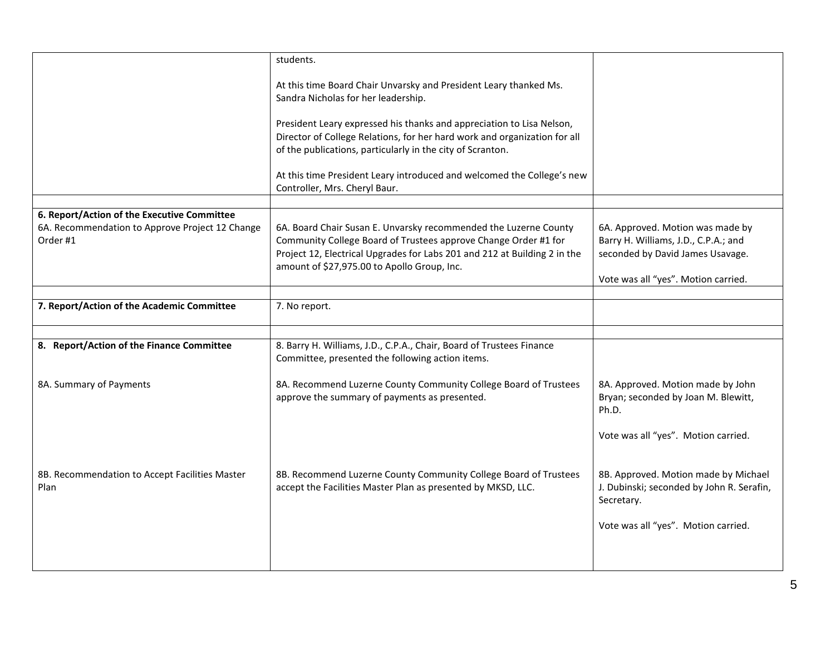|                                                                                                            | students.                                                                                                                                                                                                                                                       |                                                                                                              |
|------------------------------------------------------------------------------------------------------------|-----------------------------------------------------------------------------------------------------------------------------------------------------------------------------------------------------------------------------------------------------------------|--------------------------------------------------------------------------------------------------------------|
|                                                                                                            | At this time Board Chair Unvarsky and President Leary thanked Ms.<br>Sandra Nicholas for her leadership.                                                                                                                                                        |                                                                                                              |
|                                                                                                            | President Leary expressed his thanks and appreciation to Lisa Nelson,<br>Director of College Relations, for her hard work and organization for all<br>of the publications, particularly in the city of Scranton.                                                |                                                                                                              |
|                                                                                                            | At this time President Leary introduced and welcomed the College's new<br>Controller, Mrs. Cheryl Baur.                                                                                                                                                         |                                                                                                              |
|                                                                                                            |                                                                                                                                                                                                                                                                 |                                                                                                              |
| 6. Report/Action of the Executive Committee<br>6A. Recommendation to Approve Project 12 Change<br>Order #1 | 6A. Board Chair Susan E. Unvarsky recommended the Luzerne County<br>Community College Board of Trustees approve Change Order #1 for<br>Project 12, Electrical Upgrades for Labs 201 and 212 at Building 2 in the<br>amount of \$27,975.00 to Apollo Group, Inc. | 6A. Approved. Motion was made by<br>Barry H. Williams, J.D., C.P.A.; and<br>seconded by David James Usavage. |
|                                                                                                            |                                                                                                                                                                                                                                                                 | Vote was all "yes". Motion carried.                                                                          |
|                                                                                                            |                                                                                                                                                                                                                                                                 |                                                                                                              |
| 7. Report/Action of the Academic Committee                                                                 | 7. No report.                                                                                                                                                                                                                                                   |                                                                                                              |
|                                                                                                            |                                                                                                                                                                                                                                                                 |                                                                                                              |
| 8. Report/Action of the Finance Committee                                                                  | 8. Barry H. Williams, J.D., C.P.A., Chair, Board of Trustees Finance<br>Committee, presented the following action items.                                                                                                                                        |                                                                                                              |
| 8A. Summary of Payments                                                                                    | 8A. Recommend Luzerne County Community College Board of Trustees<br>approve the summary of payments as presented.                                                                                                                                               | 8A. Approved. Motion made by John<br>Bryan; seconded by Joan M. Blewitt,<br>Ph.D.                            |
|                                                                                                            |                                                                                                                                                                                                                                                                 | Vote was all "yes". Motion carried.                                                                          |
| 8B. Recommendation to Accept Facilities Master<br>Plan                                                     | 8B. Recommend Luzerne County Community College Board of Trustees<br>accept the Facilities Master Plan as presented by MKSD, LLC.                                                                                                                                | 8B. Approved. Motion made by Michael<br>J. Dubinski; seconded by John R. Serafin,<br>Secretary.              |
|                                                                                                            |                                                                                                                                                                                                                                                                 | Vote was all "yes". Motion carried.                                                                          |
|                                                                                                            |                                                                                                                                                                                                                                                                 |                                                                                                              |